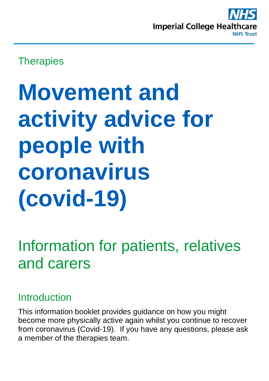

## **Therapies**

# **Movement and activity advice for people with coronavirus (covid-19)**

## Information for patients, relatives and carers

## Introduction

This information booklet provides guidance on how you might become more physically active again whilst you continue to recover from coronavirus (Covid-19). If you have any questions, please ask a member of the therapies team.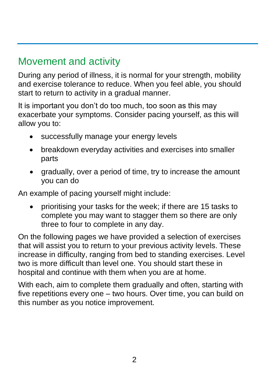## Movement and activity

During any period of illness, it is normal for your strength, mobility and exercise tolerance to reduce. When you feel able, you should start to return to activity in a gradual manner.

It is important you don't do too much, too soon as this may exacerbate your symptoms. Consider pacing yourself, as this will allow you to:

- successfully manage your energy levels
- breakdown everyday activities and exercises into smaller parts
- gradually, over a period of time, try to increase the amount you can do

An example of pacing yourself might include:

• prioritising your tasks for the week; if there are 15 tasks to complete you may want to stagger them so there are only three to four to complete in any day.

On the following pages we have provided a selection of exercises that will assist you to return to your previous activity levels. These increase in difficulty, ranging from bed to standing exercises. Level two is more difficult than level one. You should start these in hospital and continue with them when you are at home.

With each, aim to complete them gradually and often, starting with five repetitions every one – two hours. Over time, you can build on this number as you notice improvement.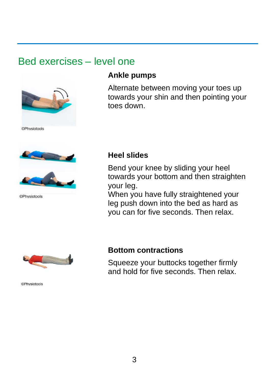## Bed exercises – level one



**©Physiotools** 



**©Physiotools** 

#### **Ankle pumps**

Alternate between moving your toes up towards your shin and then pointing your toes down.

#### **Heel slides**

Bend your knee by sliding your heel towards your bottom and then straighten your leg.

When you have fully straightened your leg push down into the bed as hard as you can for five seconds. Then relax.



**©Physiotools** 

#### **Bottom contractions**

Squeeze your buttocks together firmly and hold for five seconds. Then relax.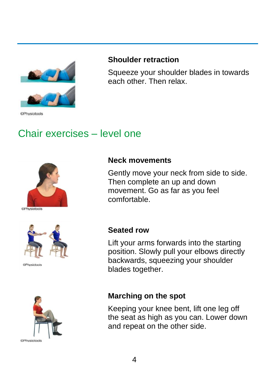

**©Physiotools** 

#### **Shoulder retraction**

Squeeze your shoulder blades in towards each other. Then relax.

## Chair exercises – level one





**@Physintonls** 



#### **Neck movements**

Gently move your neck from side to side. Then complete an up and down movement. Go as far as you feel comfortable.

#### **Seated row**

Lift your arms forwards into the starting position. Slowly pull your elbows directly backwards, squeezing your shoulder blades together.

#### **Marching on the spot**

Keeping your knee bent, lift one leg off the seat as high as you can. Lower down and repeat on the other side.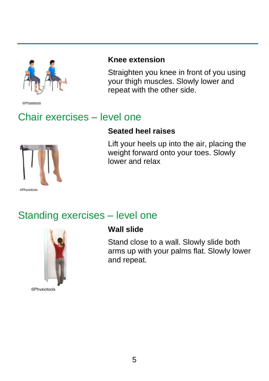

**©Physiotools** 

## Chair exercises – level one

#### **Seated heel raises**

repeat with the other side.

**Knee extension**



Lift your heels up into the air, placing the weight forward onto your toes. Slowly lower and relax

Straighten you knee in front of you using your thigh muscles. Slowly lower and

## Standing exercises – level one



**Wall slide**

Stand close to a wall. Slowly slide both arms up with your palms flat. Slowly lower and repeat.

**©Physiotools**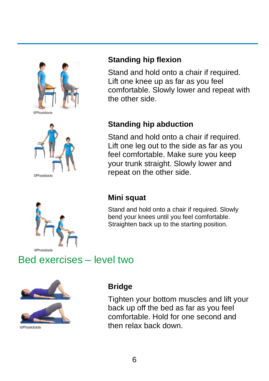





#### **Standing hip flexion**

Stand and hold onto a chair if required. Lift one knee up as far as you feel comfortable. Slowly lower and repeat with the other side.

#### **Standing hip abduction**

Stand and hold onto a chair if required. Lift one leg out to the side as far as you feel comfortable. Make sure you keep your trunk straight. Slowly lower and repeat on the other side.

#### **Mini squat**

Stand and hold onto a chair if required. Slowly bend your knees until you feel comfortable. Straighten back up to the starting position.

## Bed exercises – level two



**<sup>©</sup>Physiotools** 

#### **Bridge**

Tighten your bottom muscles and lift your back up off the bed as far as you feel comfortable. Hold for one second and then relax back down.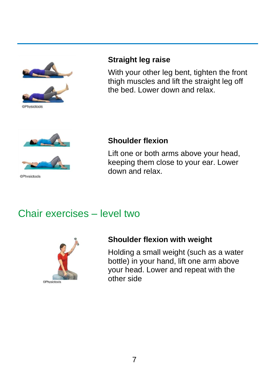

**DPhysiotools** 



With your other leg bent, tighten the front thigh muscles and lift the straight leg off the bed. Lower down and relax.



©Physiotools

#### **Shoulder flexion**

Lift one or both arms above your head, keeping them close to your ear. Lower down and relax.

## Chair exercises – level two



#### **Shoulder flexion with weight**

Holding a small weight (such as a water bottle) in your hand, lift one arm above your head. Lower and repeat with the other side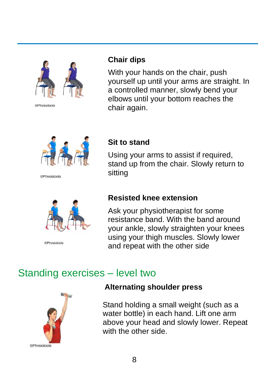

@Physiotools

#### **Chair dips**

With your hands on the chair, push yourself up until your arms are straight. In a controlled manner, slowly bend your elbows until your bottom reaches the chair again.



**©Physiotools** 



©Physiotools

#### **Sit to stand**

Using your arms to assist if required, stand up from the chair. Slowly return to sitting

#### **Resisted knee extension**

Ask your physiotherapist for some resistance band. With the band around your ankle, slowly straighten your knees using your thigh muscles. Slowly lower and repeat with the other side

## Standing exercises – level two



#### **Alternating shoulder press**

Stand holding a small weight (such as a water bottle) in each hand. Lift one arm above your head and slowly lower. Repeat with the other side.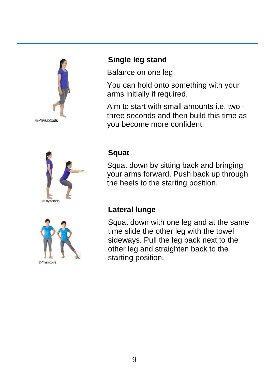





#### **Single leg stand**

Balance on one leg.

You can hold onto something with your arms initially if required.

Aim to start with small amounts i.e. two three seconds and then build this time as you become more confident.

#### **Squat**

Squat down by sitting back and bringing your arms forward. Push back up through the heels to the starting position.

#### **Lateral lunge**

Squat down with one leg and at the same time slide the other leg with the towel sideways. Pull the leg back next to the other leg and straighten back to the starting position.